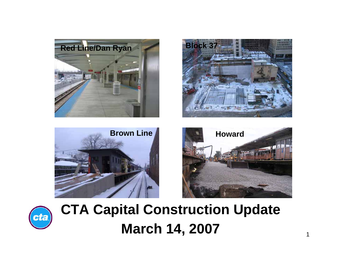









# **CTA Capital Construction Update March 14, 2007**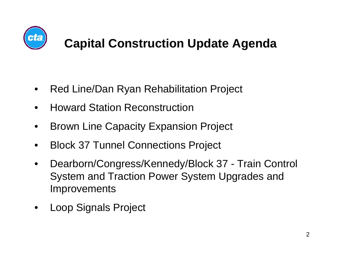

## **Capital Construction Update Agenda**

- •Red Line/Dan Ryan Rehabilitation Project
- •Howard Station Reconstruction
- •Brown Line Capacity Expansion Project
- •Block 37 Tunnel Connections Project
- • Dearborn/Congress/Kennedy/Block 37 - Train Control System and Traction Power System Upgrades and **Improvements**
- •Loop Signals Project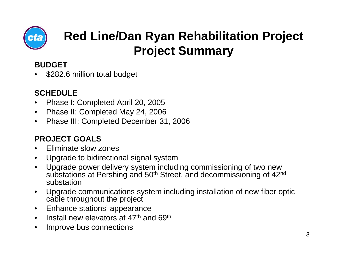

## **Red Line/Dan Ryan Rehabilitation Project Project Summary**

#### **BUDGET**

•\$282.6 million total budget

#### **SCHEDULE**

- •Phase I: Completed April 20, 2005
- $\bullet$ Phase II: Completed May 24, 2006
- •Phase III: Completed December 31, 2006

- •Eliminate slow zones
- •Upgrade to bidirectional signal system
- • Upgrade power delivery system including commissioning of two new substations at Pershing and 50<sup>th</sup> Street, and decommissioning of 42<sup>nd</sup> substation
- • Upgrade communications system including installation of new fiber optic cable throughout the project
- •Enhance stations' appearance
- •Install new elevators at 47th and 69th
- •Improve bus connections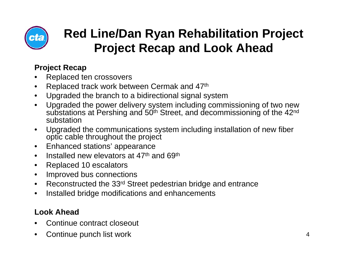

## **Red Line/Dan Ryan Rehabilitation Project Project Recap and Look Ahead**

#### **Project Recap**

- •Replaced ten crossovers
- •Replaced track work between Cermak and 47th
- •Upgraded the branch to a bidirectional signal system
- • Upgraded the power delivery system including commissioning of two new substations at Pershing and 50<sup>th</sup> Street, and decommissioning of the 42<sup>nd</sup> substation
- • Upgraded the communications system including installation of new fiber optic cable throughout the project
- $\bullet$ Enhanced stations' appearance
- •Installed new elevators at 47th and 69th
- •Replaced 10 escalators
- •Improved bus connections
- •Reconstructed the 33rd Street pedestrian bridge and entrance
- •Installed bridge modifications and enhancements

#### **Look Ahead**

- •Continue contract closeout
- •Continue punch list work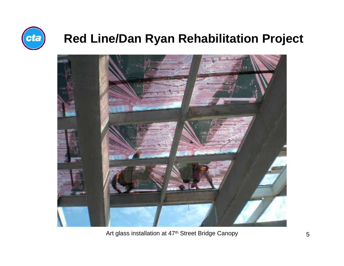

### **Red Line/Dan Ryan Rehabilitation Project**



Art glass installation at 47<sup>th</sup> Street Bridge Canopy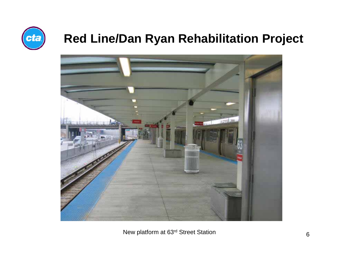

## **Red Line/Dan Ryan Rehabilitation Project**



New platform at 63rd Street Station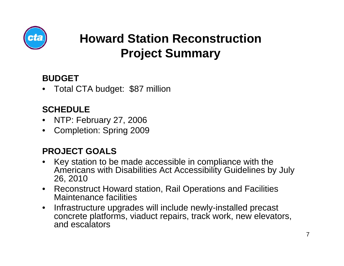

## **Howard Station ReconstructionProject Summary**

#### **BUDGET**

•Total CTA budget: \$87 million

#### **SCHEDULE**

- •NTP: February 27, 2006
- $\bullet$ Completion: Spring 2009

- $\bullet$  Key station to be made accessible in compliance with the Americans with Disabilities Act Accessibility Guidelines by July 26, 2010
- Reconstruct Howard station, Rail Operations and Facilities Maintenance facilities
- $\bullet$  Infrastructure upgrades will include newly-installed precast concrete platforms, viaduct repairs, track work, new elevators, and escalators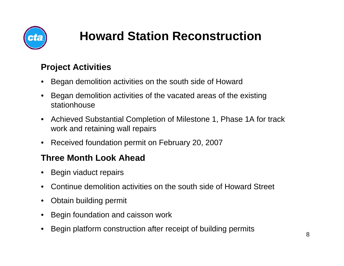

# **Howard Station Reconstruction**

#### **Project Activities**

- •Began demolition activities on the south side of Howard
- • Began demolition activities of the vacated areas of the existing stationhouse
- • Achieved Substantial Completion of Milestone 1, Phase 1A for track work and retaining wall repairs
- •Received foundation permit on February 20, 2007

#### **Three Month Look Ahead**

- •Begin viaduct repairs
- •Continue demolition activities on the south side of Howard Street
- •Obtain building permit
- •Begin foundation and caisson work
- •Begin platform construction after receipt of building permits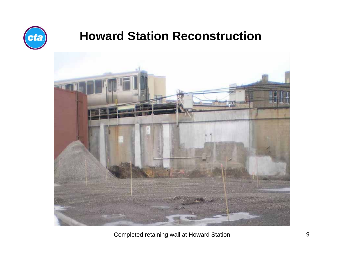

### **Howard Station Reconstruction**



Completed retaining wall at Howard Station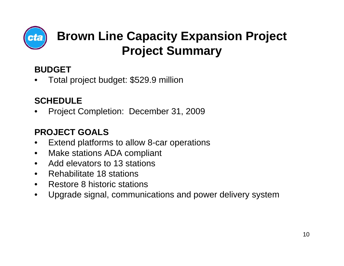

## **Brown Line Capacity Expansion Project Project Summary**

#### **BUDGET**

•Total project budget: \$529.9 million

### **SCHEDULE**

•Project Completion: December 31, 2009

- •Extend platforms to allow 8-car operations
- •Make stations ADA compliant
- •Add elevators to 13 stations
- •Rehabilitate 18 stations
- •Restore 8 historic stations
- $\bullet$ Upgrade signal, communications and power delivery system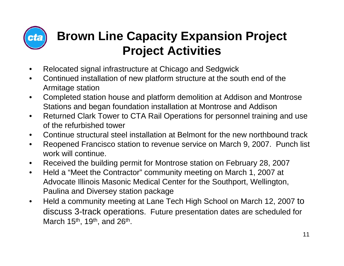

## **Brown Line Capacity Expansion Project Project Activities**

- $\bullet$ Relocated signal infrastructure at Chicago and Sedgwick
- • Continued installation of new platform structure at the south end of the Armitage station
- • Completed station house and platform demolition at Addison and Montrose Stations and began foundation installation at Montrose and Addison
- $\bullet$  Returned Clark Tower to CTA Rail Operations for personnel training and use of the refurbished tower
- •Continue structural steel installation at Belmont for the new northbound track
- • Reopened Francisco station to revenue service on March 9, 2007. Punch list work will continue.
- •Received the building permit for Montrose station on February 28, 2007
- $\bullet$  Held a "Meet the Contractor" community meeting on March 1, 2007 at Advocate Illinois Masonic Medical Center for the Southport, Wellington, Paulina and Diversey station package
- $\bullet$  Held a community meeting at Lane Tech High School on March 12, 2007 to discuss 3-track operations. Future presentation dates are scheduled for March 15th, 19th, and 26th.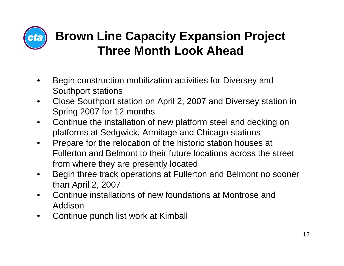

## **Brown Line Capacity Expansion Project Three Month Look Ahead**

- • Begin construction mobilization activities for Diversey and Southport stations
- • Close Southport station on April 2, 2007 and Diversey station in Spring 2007 for 12 months
- $\bullet$  Continue the installation of new platform steel and decking on platforms at Sedgwick, Armitage and Chicago stations
- $\bullet$  Prepare for the relocation of the historic station houses at Fullerton and Belmont to their future locations across the street from where they are presently located
- • Begin three track operations at Fullerton and Belmont no sooner than April 2, 2007
- • Continue installations of new foundations at Montrose and Addison
- •Continue punch list work at Kimball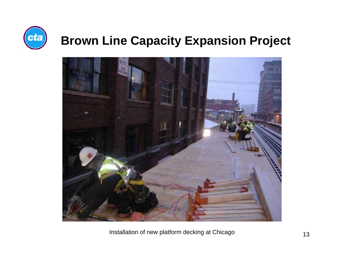



Installation of new platform decking at Chicago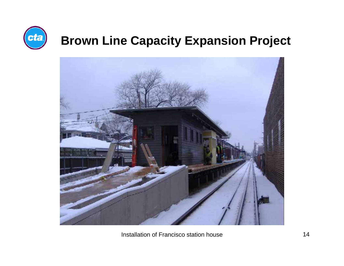

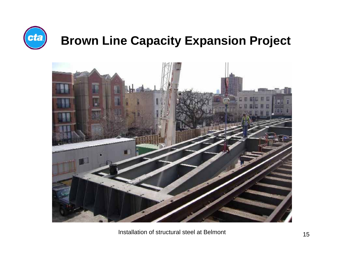



Installation of structural steel at Belmont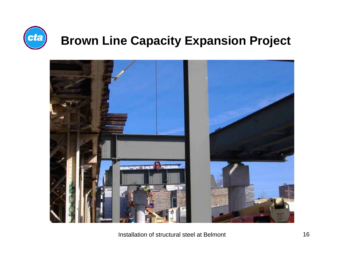



Installation of structural steel at Belmont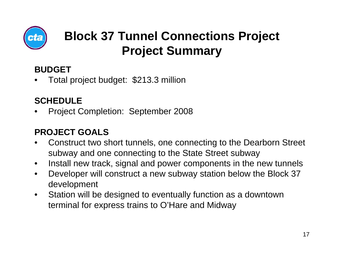

## **Block 37 Tunnel Connections Project Project Summary**

#### **BUDGET**

•Total project budget: \$213.3 million

#### **SCHEDULE**

•Project Completion: September 2008

- • Construct two short tunnels, one connecting to the Dearborn Street subway and one connecting to the State Street subway
- •Install new track, signal and power components in the new tunnels
- $\bullet$  Developer will construct a new subway station below the Block 37 development
- $\bullet$  Station will be designed to eventually function as a downtown terminal for express trains to O'Hare and Midway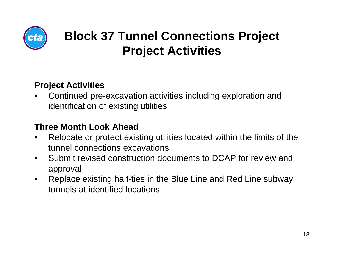

## **Block 37 Tunnel Connections Project Project Activities**

#### **Project Activities**

• Continued pre-excavation activities including exploration and identification of existing utilities

#### **Three Month Look Ahead**

- • Relocate or protect existing utilities located within the limits of the tunnel connections excavations
- $\bullet$  Submit revised construction documents to DCAP for review and approval
- $\bullet$  Replace existing half-ties in the Blue Line and Red Line subway tunnels at identified locations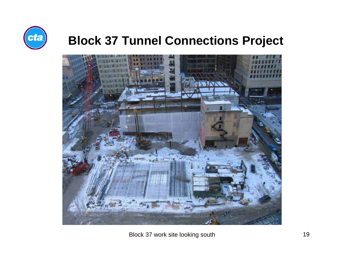

### **Block 37 Tunnel Connections Project**



Block 37 work site looking south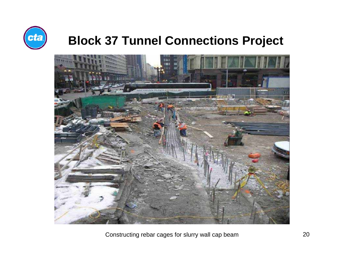

### **Block 37 Tunnel Connections Project**



Constructing rebar cages for slurry wall cap beam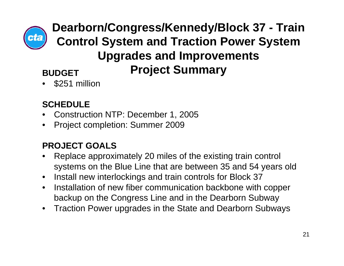

**BUDGET Dearborn/Congress/Kennedy/Block 37 - Train Control System and Traction Power System Upgrades and Improvements Project Summary**

•\$251 million

### **SCHEDULE**

- •Construction NTP: December 1, 2005
- $\bullet$ Project completion: Summer 2009

- • Replace approximately 20 miles of the existing train control systems on the Blue Line that are between 35 and 54 years old
- $\bullet$ Install new interlockings and train controls for Block 37
- $\bullet$  Installation of new fiber communication backbone with copper backup on the Congress Line and in the Dearborn Subway
- $\bullet$ Traction Power upgrades in the State and Dearborn Subways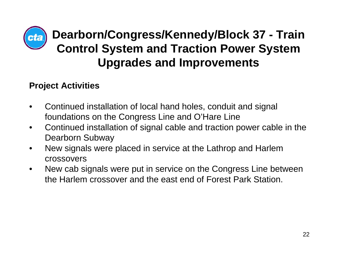

### **Dearborn/Congress/Kennedy/Block 37 - Train Control System and Traction Power System Upgrades and Improvements**

#### **Project Activities**

- • Continued installation of local hand holes, conduit and signal foundations on the Congress Line and O'Hare Line
- • Continued installation of signal cable and traction power cable in the Dearborn Subway
- • New signals were placed in service at the Lathrop and Harlem crossovers
- • New cab signals were put in service on the Congress Line between the Harlem crossover and the east end of Forest Park Station.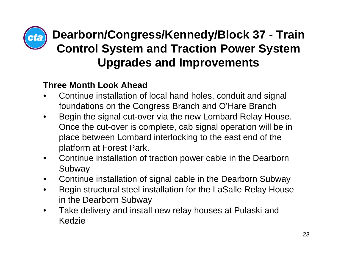

## **Dearborn/Congress/Kennedy/Block 37 - Train Control System and Traction Power System Upgrades and Improvements**

#### **Three Month Look Ahead**

- • Continue installation of local hand holes, conduit and signal foundations on the Congress Branch and O'Hare Branch
- $\bullet$  Begin the signal cut-over via the new Lombard Relay House. Once the cut-over is complete, cab signal operation will be in place between Lombard interlocking to the east end of the platform at Forest Park.
- $\bullet$  Continue installation of traction power cable in the Dearborn Subway
- •Continue installation of signal cable in the Dearborn Subway
- $\bullet$  Begin structural steel installation for the LaSalle Relay House in the Dearborn Subway
- $\bullet$  Take delivery and install new relay houses at Pulaski and Kedzie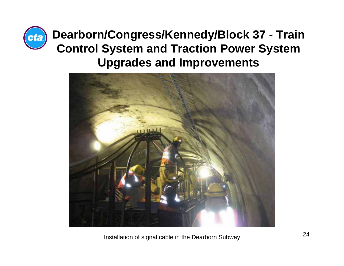

**Dearborn/Congress/Kennedy/Block 37 - Train Control System and Traction Power System Upgrades and Improvements**



Installation of signal cable in the Dearborn Subway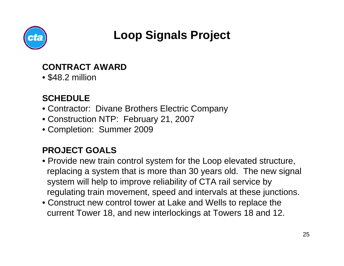

## **Loop Signals Project**

#### **CONTRACT AWARD**

• \$48.2 million

### **SCHEDULE**

- Contractor: Divane Brothers Electric Company
- Construction NTP: February 21, 2007
- Completion: Summer 2009

- Provide new train control system for the Loop elevated structure, replacing a system that is more than 30 years old. The new signal system will help to improve reliability of CTA rail service by regulating train movement, speed and intervals at these junctions.
- Construct new control tower at Lake and Wells to replace the current Tower 18, and new interlockings at Towers 18 and 12.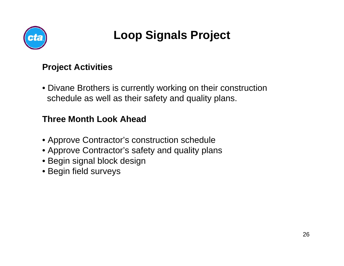

## **Loop Signals Project**

#### **Project Activities**

• Divane Brothers is currently working on their construction schedule as well as their safety and quality plans.

#### **Three Month Look Ahead**

- Approve Contractor's construction schedule
- Approve Contractor's safety and quality plans
- Begin signal block design
- Begin field surveys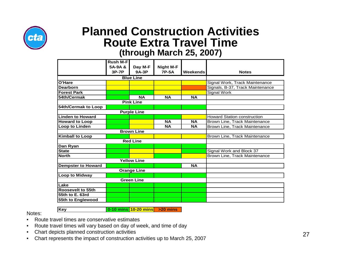

#### **Planned Construction ActivitiesRoute Extra Travel Time (through March 25, 2007)**

|                            | <b>Rush M-F</b> |           |                  |           |                                    |
|----------------------------|-----------------|-----------|------------------|-----------|------------------------------------|
|                            | 5A-9A &         | Day M-F   | <b>Night M-F</b> |           |                                    |
|                            | 3P-7P           | $9A-3P$   | <b>7P-5A</b>     | Weekends  | <b>Notes</b>                       |
| <b>Blue Line</b>           |                 |           |                  |           |                                    |
| O'Hare                     |                 |           |                  |           | Signal Work, Track Maintenance     |
| <b>Dearborn</b>            |                 |           |                  |           | Signals, B-37, Track Maintenance   |
| <b>Forest Park</b>         |                 |           |                  |           | Signal Work                        |
| 54th/Cermak                |                 | <b>NA</b> | <b>NA</b>        | <b>NA</b> |                                    |
| <b>Pink Line</b>           |                 |           |                  |           |                                    |
| <b>54th/Cermak to Loop</b> |                 |           |                  |           |                                    |
| <b>Purple Line</b>         |                 |           |                  |           |                                    |
| <b>Linden to Howard</b>    |                 |           |                  |           | <b>Howard Station construction</b> |
| <b>Howard to Loop</b>      |                 |           | <b>NA</b>        | <b>NA</b> | Brown Line, Track Maintenance      |
| <b>Loop to Linden</b>      |                 |           | <b>NA</b>        | <b>NA</b> | Brown Line, Track Maintenance      |
| <b>Brown Line</b>          |                 |           |                  |           |                                    |
| <b>Kimball to Loop</b>     |                 |           |                  |           | Brown Line, Track Maintenance      |
| <b>Red Line</b>            |                 |           |                  |           |                                    |
| Dan Ryan                   |                 |           |                  |           |                                    |
| <b>State</b>               |                 |           |                  |           | Signal Work and Block 37           |
| <b>North</b>               |                 |           |                  |           | Brown Line, Track Maintenance      |
| <b>Yellow Line</b>         |                 |           |                  |           |                                    |
| <b>Dempster to Howard</b>  |                 |           |                  | <b>NA</b> |                                    |
| <b>Orange Line</b>         |                 |           |                  |           |                                    |
| <b>Loop to Midway</b>      |                 |           |                  |           |                                    |
| <b>Green Line</b>          |                 |           |                  |           |                                    |
| Lake                       |                 |           |                  |           |                                    |
| <b>Roosevelt to 55th</b>   |                 |           |                  |           |                                    |
| 55th to E. 63rd            |                 |           |                  |           |                                    |
| 55th to Englewood          |                 |           |                  |           |                                    |

Notes:

- **Key 0-10 mins 10-20 mins >20 mins**
- •Route travel times are conservative estimates
- •Route travel times will vary based on day of week, and time of day
- •Chart depicts planned construction activities
- •Chart represents the impact of construction activities up to March 25, 2007